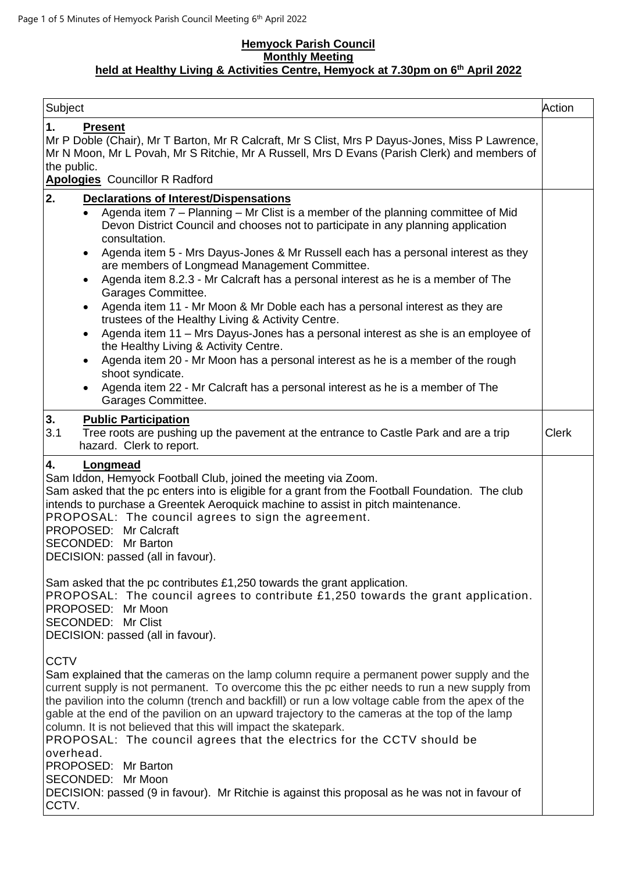## **Hemyock Parish Council Monthly Meeting held at Healthy Living & Activities Centre, Hemyock at 7.30pm on 6 th April 2022**

| Subject                                                                                                                                                                                                                                                                                                                                                                                                                                                                                                                                                                                                                                                                                                                                                                                                                                                                                                                                                                                                                            | Action       |
|------------------------------------------------------------------------------------------------------------------------------------------------------------------------------------------------------------------------------------------------------------------------------------------------------------------------------------------------------------------------------------------------------------------------------------------------------------------------------------------------------------------------------------------------------------------------------------------------------------------------------------------------------------------------------------------------------------------------------------------------------------------------------------------------------------------------------------------------------------------------------------------------------------------------------------------------------------------------------------------------------------------------------------|--------------|
| 1.<br><b>Present</b><br>Mr P Doble (Chair), Mr T Barton, Mr R Calcraft, Mr S Clist, Mrs P Dayus-Jones, Miss P Lawrence,<br>Mr N Moon, Mr L Povah, Mr S Ritchie, Mr A Russell, Mrs D Evans (Parish Clerk) and members of<br>the public.                                                                                                                                                                                                                                                                                                                                                                                                                                                                                                                                                                                                                                                                                                                                                                                             |              |
| <b>Apologies</b> Councillor R Radford                                                                                                                                                                                                                                                                                                                                                                                                                                                                                                                                                                                                                                                                                                                                                                                                                                                                                                                                                                                              |              |
| 2.<br><b>Declarations of Interest/Dispensations</b><br>Agenda item 7 - Planning - Mr Clist is a member of the planning committee of Mid<br>$\bullet$<br>Devon District Council and chooses not to participate in any planning application<br>consultation.<br>Agenda item 5 - Mrs Dayus-Jones & Mr Russell each has a personal interest as they<br>$\bullet$<br>are members of Longmead Management Committee.<br>Agenda item 8.2.3 - Mr Calcraft has a personal interest as he is a member of The<br>$\bullet$<br>Garages Committee.<br>Agenda item 11 - Mr Moon & Mr Doble each has a personal interest as they are<br>$\bullet$<br>trustees of the Healthy Living & Activity Centre.<br>Agenda item 11 - Mrs Dayus-Jones has a personal interest as she is an employee of<br>the Healthy Living & Activity Centre.<br>Agenda item 20 - Mr Moon has a personal interest as he is a member of the rough<br>shoot syndicate.<br>Agenda item 22 - Mr Calcraft has a personal interest as he is a member of The<br>Garages Committee. |              |
| 3.<br><b>Public Participation</b><br>3.1<br>Tree roots are pushing up the pavement at the entrance to Castle Park and are a trip<br>hazard. Clerk to report.                                                                                                                                                                                                                                                                                                                                                                                                                                                                                                                                                                                                                                                                                                                                                                                                                                                                       | <b>Clerk</b> |
| 4.<br>Longmead<br>Sam Iddon, Hemyock Football Club, joined the meeting via Zoom.<br>Sam asked that the pc enters into is eligible for a grant from the Football Foundation. The club<br>intends to purchase a Greentek Aeroquick machine to assist in pitch maintenance.<br>PROPOSAL: The council agrees to sign the agreement.<br>PROPOSED: Mr Calcraft<br>SECONDED: Mr Barton<br>DECISION: passed (all in favour).                                                                                                                                                                                                                                                                                                                                                                                                                                                                                                                                                                                                               |              |
| Sam asked that the pc contributes £1,250 towards the grant application.<br>PROPOSAL: The council agrees to contribute £1,250 towards the grant application.<br>PROPOSED: Mr Moon<br>SECONDED: Mr Clist<br>DECISION: passed (all in favour).                                                                                                                                                                                                                                                                                                                                                                                                                                                                                                                                                                                                                                                                                                                                                                                        |              |
| <b>CCTV</b><br>Sam explained that the cameras on the lamp column require a permanent power supply and the<br>current supply is not permanent. To overcome this the pc either needs to run a new supply from<br>the pavilion into the column (trench and backfill) or run a low voltage cable from the apex of the<br>gable at the end of the pavilion on an upward trajectory to the cameras at the top of the lamp<br>column. It is not believed that this will impact the skatepark.<br>PROPOSAL: The council agrees that the electrics for the CCTV should be<br>overhead.<br>PROPOSED: Mr Barton<br>SECONDED: Mr Moon<br>DECISION: passed (9 in favour). Mr Ritchie is against this proposal as he was not in favour of<br>CCTV.                                                                                                                                                                                                                                                                                               |              |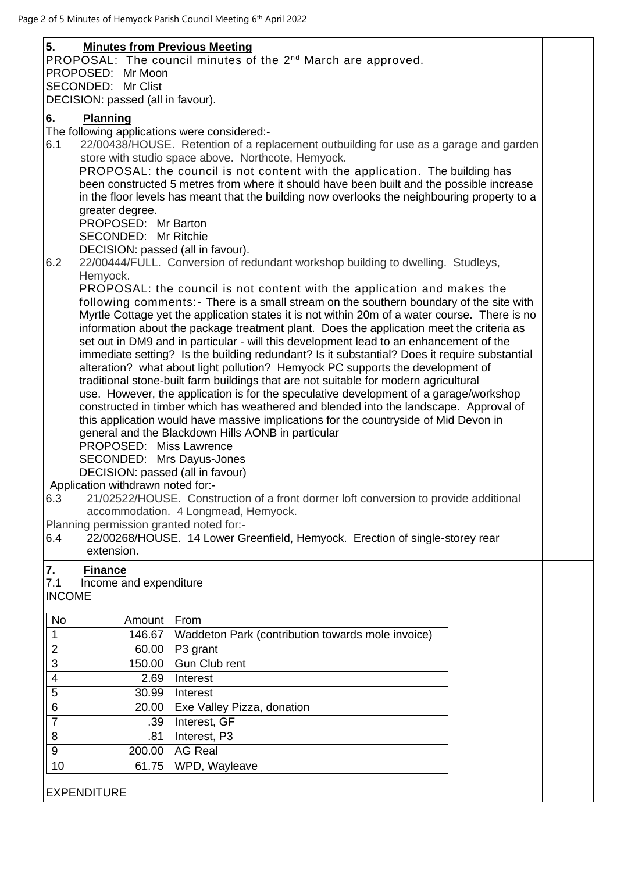| 5.                         | <b>Minutes from Previous Meeting</b><br>PROPOSED: Mr Moon                                                                                                                                                                                                                                                                                                                                                                                                                                                                                                                                                                                                                                                                                                                                                                                                                                                                                                                                                                                                                                                                                                                                                                                                                                                                                                                                                                                                                                                                                                                                                                                                                                                                                                                                            | PROPOSAL: The council minutes of the 2 <sup>nd</sup> March are approved.                                            |  |  |
|----------------------------|------------------------------------------------------------------------------------------------------------------------------------------------------------------------------------------------------------------------------------------------------------------------------------------------------------------------------------------------------------------------------------------------------------------------------------------------------------------------------------------------------------------------------------------------------------------------------------------------------------------------------------------------------------------------------------------------------------------------------------------------------------------------------------------------------------------------------------------------------------------------------------------------------------------------------------------------------------------------------------------------------------------------------------------------------------------------------------------------------------------------------------------------------------------------------------------------------------------------------------------------------------------------------------------------------------------------------------------------------------------------------------------------------------------------------------------------------------------------------------------------------------------------------------------------------------------------------------------------------------------------------------------------------------------------------------------------------------------------------------------------------------------------------------------------------|---------------------------------------------------------------------------------------------------------------------|--|--|
|                            | SECONDED: Mr Clist                                                                                                                                                                                                                                                                                                                                                                                                                                                                                                                                                                                                                                                                                                                                                                                                                                                                                                                                                                                                                                                                                                                                                                                                                                                                                                                                                                                                                                                                                                                                                                                                                                                                                                                                                                                   |                                                                                                                     |  |  |
| 6.<br>6.1<br>6.2           | DECISION: passed (all in favour).<br>Planning<br>The following applications were considered:-<br>22/00438/HOUSE. Retention of a replacement outbuilding for use as a garage and garden<br>store with studio space above. Northcote, Hemyock.<br>PROPOSAL: the council is not content with the application. The building has<br>been constructed 5 metres from where it should have been built and the possible increase<br>in the floor levels has meant that the building now overlooks the neighbouring property to a<br>greater degree.<br>PROPOSED: Mr Barton<br>SECONDED: Mr Ritchie<br>DECISION: passed (all in favour).<br>22/00444/FULL. Conversion of redundant workshop building to dwelling. Studleys,<br>Hemyock.<br>PROPOSAL: the council is not content with the application and makes the<br>following comments: - There is a small stream on the southern boundary of the site with<br>Myrtle Cottage yet the application states it is not within 20m of a water course. There is no<br>information about the package treatment plant. Does the application meet the criteria as<br>set out in DM9 and in particular - will this development lead to an enhancement of the<br>immediate setting? Is the building redundant? Is it substantial? Does it require substantial<br>alteration? what about light pollution? Hemyock PC supports the development of<br>traditional stone-built farm buildings that are not suitable for modern agricultural<br>use. However, the application is for the speculative development of a garage/workshop<br>constructed in timber which has weathered and blended into the landscape. Approval of<br>this application would have massive implications for the countryside of Mid Devon in<br>general and the Blackdown Hills AONB in particular |                                                                                                                     |  |  |
| 6.3                        | PROPOSED: Miss Lawrence<br>SECONDED: Mrs Dayus-Jones<br>DECISION: passed (all in favour)<br>Application withdrawn noted for:-                                                                                                                                                                                                                                                                                                                                                                                                                                                                                                                                                                                                                                                                                                                                                                                                                                                                                                                                                                                                                                                                                                                                                                                                                                                                                                                                                                                                                                                                                                                                                                                                                                                                        | 21/02522/HOUSE. Construction of a front dormer loft conversion to provide additional                                |  |  |
| 6.4                        | Planning permission granted noted for:-<br>extension.                                                                                                                                                                                                                                                                                                                                                                                                                                                                                                                                                                                                                                                                                                                                                                                                                                                                                                                                                                                                                                                                                                                                                                                                                                                                                                                                                                                                                                                                                                                                                                                                                                                                                                                                                | accommodation. 4 Longmead, Hemyock.<br>22/00268/HOUSE. 14 Lower Greenfield, Hemyock. Erection of single-storey rear |  |  |
| 7.<br>7.1<br><b>INCOME</b> | <b>Finance</b><br>Income and expenditure                                                                                                                                                                                                                                                                                                                                                                                                                                                                                                                                                                                                                                                                                                                                                                                                                                                                                                                                                                                                                                                                                                                                                                                                                                                                                                                                                                                                                                                                                                                                                                                                                                                                                                                                                             |                                                                                                                     |  |  |
| No                         | Amount                                                                                                                                                                                                                                                                                                                                                                                                                                                                                                                                                                                                                                                                                                                                                                                                                                                                                                                                                                                                                                                                                                                                                                                                                                                                                                                                                                                                                                                                                                                                                                                                                                                                                                                                                                                               | From                                                                                                                |  |  |
| $\mathbf 1$                | 146.67                                                                                                                                                                                                                                                                                                                                                                                                                                                                                                                                                                                                                                                                                                                                                                                                                                                                                                                                                                                                                                                                                                                                                                                                                                                                                                                                                                                                                                                                                                                                                                                                                                                                                                                                                                                               | Waddeton Park (contribution towards mole invoice)                                                                   |  |  |
| $\overline{2}$             | 60.00                                                                                                                                                                                                                                                                                                                                                                                                                                                                                                                                                                                                                                                                                                                                                                                                                                                                                                                                                                                                                                                                                                                                                                                                                                                                                                                                                                                                                                                                                                                                                                                                                                                                                                                                                                                                | P3 grant                                                                                                            |  |  |
| $\overline{3}$             | 150.00                                                                                                                                                                                                                                                                                                                                                                                                                                                                                                                                                                                                                                                                                                                                                                                                                                                                                                                                                                                                                                                                                                                                                                                                                                                                                                                                                                                                                                                                                                                                                                                                                                                                                                                                                                                               | Gun Club rent                                                                                                       |  |  |
| $\overline{\mathbf{4}}$    | 2.69                                                                                                                                                                                                                                                                                                                                                                                                                                                                                                                                                                                                                                                                                                                                                                                                                                                                                                                                                                                                                                                                                                                                                                                                                                                                                                                                                                                                                                                                                                                                                                                                                                                                                                                                                                                                 | Interest                                                                                                            |  |  |
| 5                          | 30.99                                                                                                                                                                                                                                                                                                                                                                                                                                                                                                                                                                                                                                                                                                                                                                                                                                                                                                                                                                                                                                                                                                                                                                                                                                                                                                                                                                                                                                                                                                                                                                                                                                                                                                                                                                                                | Interest                                                                                                            |  |  |
| 6<br>$\overline{7}$        | 20.00                                                                                                                                                                                                                                                                                                                                                                                                                                                                                                                                                                                                                                                                                                                                                                                                                                                                                                                                                                                                                                                                                                                                                                                                                                                                                                                                                                                                                                                                                                                                                                                                                                                                                                                                                                                                | Exe Valley Pizza, donation                                                                                          |  |  |
| 8                          | .39<br>.81                                                                                                                                                                                                                                                                                                                                                                                                                                                                                                                                                                                                                                                                                                                                                                                                                                                                                                                                                                                                                                                                                                                                                                                                                                                                                                                                                                                                                                                                                                                                                                                                                                                                                                                                                                                           | Interest, GF<br>Interest, P3                                                                                        |  |  |
| $\overline{9}$             | 200.00                                                                                                                                                                                                                                                                                                                                                                                                                                                                                                                                                                                                                                                                                                                                                                                                                                                                                                                                                                                                                                                                                                                                                                                                                                                                                                                                                                                                                                                                                                                                                                                                                                                                                                                                                                                               | <b>AG Real</b>                                                                                                      |  |  |
| 10                         | 61.75                                                                                                                                                                                                                                                                                                                                                                                                                                                                                                                                                                                                                                                                                                                                                                                                                                                                                                                                                                                                                                                                                                                                                                                                                                                                                                                                                                                                                                                                                                                                                                                                                                                                                                                                                                                                | WPD, Wayleave                                                                                                       |  |  |
|                            | <b>EXPENDITURE</b>                                                                                                                                                                                                                                                                                                                                                                                                                                                                                                                                                                                                                                                                                                                                                                                                                                                                                                                                                                                                                                                                                                                                                                                                                                                                                                                                                                                                                                                                                                                                                                                                                                                                                                                                                                                   |                                                                                                                     |  |  |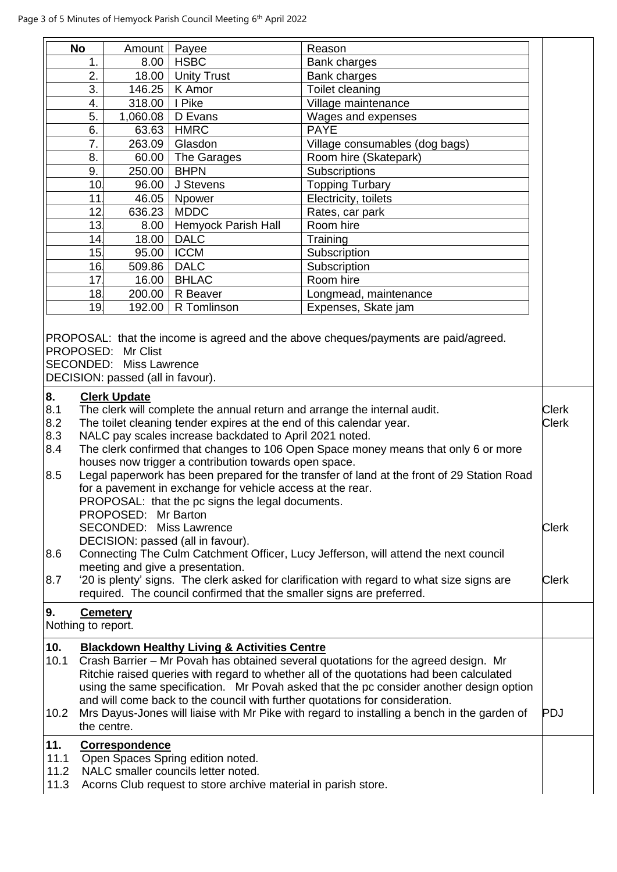|                                                     | <b>No</b>       | Amount                                                                                                                                              | Payee                                                                                                                                                                                                                                                                                                                                                                                                                                                        | Reason                                                                                                                                                                                                                                                                                                                                                                                                                                                  |                                                              |
|-----------------------------------------------------|-----------------|-----------------------------------------------------------------------------------------------------------------------------------------------------|--------------------------------------------------------------------------------------------------------------------------------------------------------------------------------------------------------------------------------------------------------------------------------------------------------------------------------------------------------------------------------------------------------------------------------------------------------------|---------------------------------------------------------------------------------------------------------------------------------------------------------------------------------------------------------------------------------------------------------------------------------------------------------------------------------------------------------------------------------------------------------------------------------------------------------|--------------------------------------------------------------|
|                                                     | 1.              | 8.00                                                                                                                                                | <b>HSBC</b>                                                                                                                                                                                                                                                                                                                                                                                                                                                  | Bank charges                                                                                                                                                                                                                                                                                                                                                                                                                                            |                                                              |
|                                                     | 2.              | 18.00                                                                                                                                               | Unity Trust                                                                                                                                                                                                                                                                                                                                                                                                                                                  | Bank charges                                                                                                                                                                                                                                                                                                                                                                                                                                            |                                                              |
|                                                     | 3.              | 146.25                                                                                                                                              | K Amor                                                                                                                                                                                                                                                                                                                                                                                                                                                       | Toilet cleaning                                                                                                                                                                                                                                                                                                                                                                                                                                         |                                                              |
|                                                     | 4.              | 318.00                                                                                                                                              | I Pike                                                                                                                                                                                                                                                                                                                                                                                                                                                       | Village maintenance                                                                                                                                                                                                                                                                                                                                                                                                                                     |                                                              |
|                                                     | 5.              | 1,060.08                                                                                                                                            | D Evans                                                                                                                                                                                                                                                                                                                                                                                                                                                      | Wages and expenses                                                                                                                                                                                                                                                                                                                                                                                                                                      |                                                              |
|                                                     | 6.              | 63.63                                                                                                                                               | <b>HMRC</b>                                                                                                                                                                                                                                                                                                                                                                                                                                                  | <b>PAYE</b>                                                                                                                                                                                                                                                                                                                                                                                                                                             |                                                              |
|                                                     | 7.              | 263.09                                                                                                                                              | Glasdon                                                                                                                                                                                                                                                                                                                                                                                                                                                      | Village consumables (dog bags)                                                                                                                                                                                                                                                                                                                                                                                                                          |                                                              |
|                                                     | 8.              | 60.00                                                                                                                                               | The Garages                                                                                                                                                                                                                                                                                                                                                                                                                                                  | Room hire (Skatepark)                                                                                                                                                                                                                                                                                                                                                                                                                                   |                                                              |
|                                                     | 9.              | 250.00                                                                                                                                              | <b>BHPN</b>                                                                                                                                                                                                                                                                                                                                                                                                                                                  | Subscriptions                                                                                                                                                                                                                                                                                                                                                                                                                                           |                                                              |
|                                                     | 10 <sub>1</sub> | 96.00                                                                                                                                               | J Stevens                                                                                                                                                                                                                                                                                                                                                                                                                                                    | <b>Topping Turbary</b>                                                                                                                                                                                                                                                                                                                                                                                                                                  |                                                              |
|                                                     | 11              | 46.05                                                                                                                                               | Npower                                                                                                                                                                                                                                                                                                                                                                                                                                                       | Electricity, toilets                                                                                                                                                                                                                                                                                                                                                                                                                                    |                                                              |
|                                                     | 12              | 636.23                                                                                                                                              | <b>MDDC</b>                                                                                                                                                                                                                                                                                                                                                                                                                                                  | Rates, car park                                                                                                                                                                                                                                                                                                                                                                                                                                         |                                                              |
|                                                     | 13              | 8.00                                                                                                                                                | Hemyock Parish Hall                                                                                                                                                                                                                                                                                                                                                                                                                                          | Room hire                                                                                                                                                                                                                                                                                                                                                                                                                                               |                                                              |
|                                                     | 14              | 18.00                                                                                                                                               | <b>DALC</b>                                                                                                                                                                                                                                                                                                                                                                                                                                                  | Training                                                                                                                                                                                                                                                                                                                                                                                                                                                |                                                              |
|                                                     | 15              | 95.00                                                                                                                                               | <b>ICCM</b>                                                                                                                                                                                                                                                                                                                                                                                                                                                  | Subscription                                                                                                                                                                                                                                                                                                                                                                                                                                            |                                                              |
|                                                     | 16              | 509.86                                                                                                                                              | <b>DALC</b>                                                                                                                                                                                                                                                                                                                                                                                                                                                  | Subscription                                                                                                                                                                                                                                                                                                                                                                                                                                            |                                                              |
|                                                     | 17              | 16.00                                                                                                                                               | <b>BHLAC</b>                                                                                                                                                                                                                                                                                                                                                                                                                                                 | Room hire                                                                                                                                                                                                                                                                                                                                                                                                                                               |                                                              |
|                                                     | 18              | 200.00                                                                                                                                              | R Beaver                                                                                                                                                                                                                                                                                                                                                                                                                                                     | Longmead, maintenance                                                                                                                                                                                                                                                                                                                                                                                                                                   |                                                              |
|                                                     | 19              | 192.00                                                                                                                                              | R Tomlinson                                                                                                                                                                                                                                                                                                                                                                                                                                                  | Expenses, Skate jam                                                                                                                                                                                                                                                                                                                                                                                                                                     |                                                              |
| 8.<br>8.1<br>8.2<br>8.3<br>8.4<br>8.5<br>8.6<br>8.7 |                 | <b>SECONDED: Miss Lawrence</b><br>DECISION: passed (all in favour).<br><b>Clerk Update</b><br>PROPOSED: Mr Barton<br><b>SECONDED: Miss Lawrence</b> | The toilet cleaning tender expires at the end of this calendar year.<br>NALC pay scales increase backdated to April 2021 noted.<br>houses now trigger a contribution towards open space.<br>for a pavement in exchange for vehicle access at the rear.<br>PROPOSAL: that the pc signs the legal documents.<br>DECISION: passed (all in favour).<br>meeting and give a presentation.<br>required. The council confirmed that the smaller signs are preferred. | The clerk will complete the annual return and arrange the internal audit.<br>The clerk confirmed that changes to 106 Open Space money means that only 6 or more<br>Legal paperwork has been prepared for the transfer of land at the front of 29 Station Road<br>Connecting The Culm Catchment Officer, Lucy Jefferson, will attend the next council<br>'20 is plenty' signs. The clerk asked for clarification with regard to what size signs are      | <b>Clerk</b><br><b>Clerk</b><br><b>Clerk</b><br><b>Clerk</b> |
| 9.<br>Nothing to report.                            |                 | <b>Cemetery</b>                                                                                                                                     |                                                                                                                                                                                                                                                                                                                                                                                                                                                              |                                                                                                                                                                                                                                                                                                                                                                                                                                                         |                                                              |
| 10.                                                 |                 |                                                                                                                                                     | <b>Blackdown Healthy Living &amp; Activities Centre</b>                                                                                                                                                                                                                                                                                                                                                                                                      |                                                                                                                                                                                                                                                                                                                                                                                                                                                         |                                                              |
| 10.1<br>10.2                                        |                 | the centre.                                                                                                                                         |                                                                                                                                                                                                                                                                                                                                                                                                                                                              | Crash Barrier - Mr Povah has obtained several quotations for the agreed design. Mr<br>Ritchie raised queries with regard to whether all of the quotations had been calculated<br>using the same specification. Mr Povah asked that the pc consider another design option<br>and will come back to the council with further quotations for consideration.<br>Mrs Dayus-Jones will liaise with Mr Pike with regard to installing a bench in the garden of | <b>PDJ</b>                                                   |
| 11.<br>11.1<br>11.2<br>11.3                         |                 | <b>Correspondence</b>                                                                                                                               | Open Spaces Spring edition noted.<br>NALC smaller councils letter noted.<br>Acorns Club request to store archive material in parish store.                                                                                                                                                                                                                                                                                                                   |                                                                                                                                                                                                                                                                                                                                                                                                                                                         |                                                              |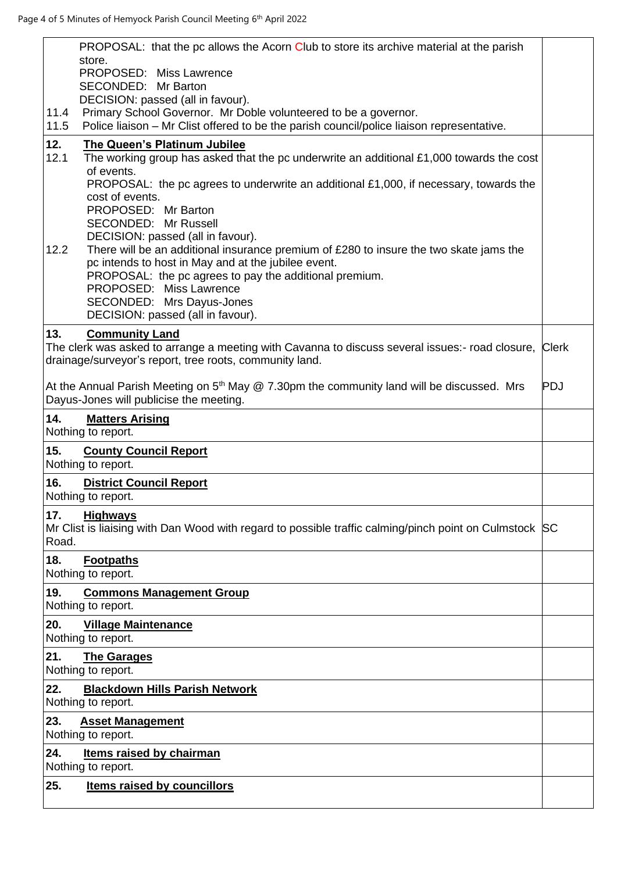|              | PROPOSAL: that the pc allows the Acorn Club to store its archive material at the parish<br>store.                                                            |            |
|--------------|--------------------------------------------------------------------------------------------------------------------------------------------------------------|------------|
|              | PROPOSED: Miss Lawrence<br>SECONDED:<br>Mr Barton                                                                                                            |            |
|              | DECISION: passed (all in favour).                                                                                                                            |            |
| 11.4<br>11.5 | Primary School Governor. Mr Doble volunteered to be a governor.<br>Police liaison - Mr Clist offered to be the parish council/police liaison representative. |            |
| 12.<br>12.1  | The Queen's Platinum Jubilee<br>The working group has asked that the pc underwrite an additional £1,000 towards the cost                                     |            |
|              | of events.                                                                                                                                                   |            |
|              | <b>PROPOSAL:</b> the pc agrees to underwrite an additional £1,000, if necessary, towards the<br>cost of events.                                              |            |
|              | PROPOSED: Mr Barton<br>SECONDED: Mr Russell                                                                                                                  |            |
|              | DECISION: passed (all in favour).                                                                                                                            |            |
| 12.2         | There will be an additional insurance premium of £280 to insure the two skate jams the<br>pc intends to host in May and at the jubilee event.                |            |
|              | PROPOSAL: the pc agrees to pay the additional premium.                                                                                                       |            |
|              | PROPOSED: Miss Lawrence<br>SECONDED: Mrs Dayus-Jones                                                                                                         |            |
|              | DECISION: passed (all in favour).                                                                                                                            |            |
| 13.          | <b>Community Land</b><br>The clerk was asked to arrange a meeting with Cavanna to discuss several issues:- road closure, Clerk                               |            |
|              | drainage/surveyor's report, tree roots, community land.                                                                                                      |            |
|              | At the Annual Parish Meeting on $5th$ May $@$ 7.30pm the community land will be discussed. Mrs                                                               | <b>PDJ</b> |
|              | Dayus-Jones will publicise the meeting.                                                                                                                      |            |
| 14.          | <b>Matters Arising</b><br>Nothing to report.                                                                                                                 |            |
| 15.          | <b>County Council Report</b>                                                                                                                                 |            |
|              | Nothing to report.                                                                                                                                           |            |
| 16.          | <b>District Council Report</b><br>Nothing to report.                                                                                                         |            |
| 17.          | <b>Highways</b><br>Mr Clist is liaising with Dan Wood with regard to possible traffic calming/pinch point on Culmstock SC                                    |            |
| Road.        |                                                                                                                                                              |            |
| 18.          | <b>Footpaths</b>                                                                                                                                             |            |
| 19.          | Nothing to report.<br><b>Commons Management Group</b>                                                                                                        |            |
|              | Nothing to report.                                                                                                                                           |            |
| 20.          | <b>Village Maintenance</b><br>Nothing to report.                                                                                                             |            |
| 21.          | <b>The Garages</b>                                                                                                                                           |            |
| 22.          | Nothing to report.<br><b>Blackdown Hills Parish Network</b>                                                                                                  |            |
|              | Nothing to report.                                                                                                                                           |            |
| 23.          | <b>Asset Management</b><br>Nothing to report.                                                                                                                |            |
| 24.          | <b>Items raised by chairman</b>                                                                                                                              |            |
|              | Nothing to report.                                                                                                                                           |            |
| 25.          | <b>Items raised by councillors</b>                                                                                                                           |            |
|              |                                                                                                                                                              |            |